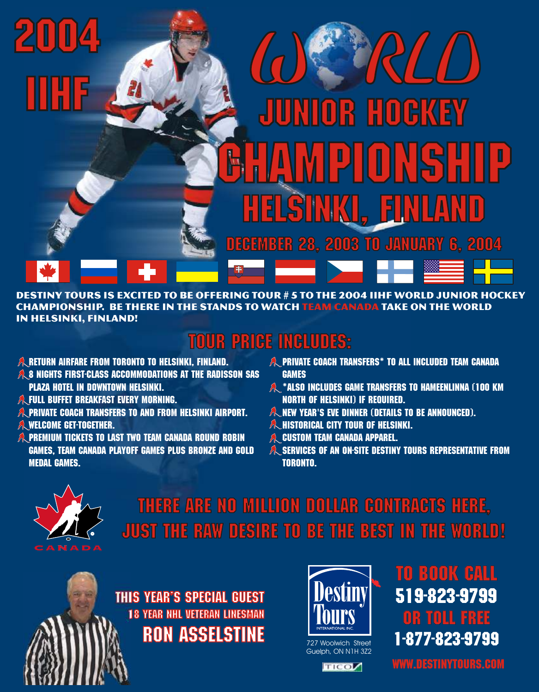

Destiny Tours is excited to be offering Tour # 5 to the 2004 IIHF World Junior Hockey CHAMPIONSHIP. BE THERE IN THE STANDS TO WATCH TEAM CANADA TAKE ON THE WORLD in Helsinki, Finland!

## TOUR PRICE INCLUDES:

- $\hat{\mathbb{A}}$  return airfare from toronto to Helsinki, finland.
- $\partial\! \! \! \lambda$ 8 Nights First-Class accommodations at the Radisson SAS  $\qquad$  games
- $\hat{\mathcal{A}}$ , full buffet breakfast every morning. North of Helsinki) if required.
- $\hat{\lambda}$ private coach transfers to and from Helsinki Airport. Man than the Dinner (details to be announced).
- A WELCOME GET-TOGETHER.
- $\hat{\mathbb{A}}$ ,Premium tickets to last two team canada round robin  $\hat{\mathbb{A}}$  custom Team Canada apparel. medal games. Toronto.
- RETURN AIRFARE FROM TORONTO TO HELSINKI, FINLAND.  $\hat{\mathbb{A}}$  private coach transfers\* to all included Team Canada  $\hat{\mathbb{A}}$
- PLAZA HOTEL IN DOWNTOWN HELSINKI.  $\hat{\mathbb{A}}^*$ Also includes game transfers to Hameenlinna (100 km  $\hat{\mathbb{A}}^*$ 
	- $\hat{\mathbb{A}}$  New Year's EVE dinner (details to be announced).
- WELCOME GET-TOGETHER. THE SUMMER SET AND TOWER OF HELSINKI. THE SUMMER OF A SERIES OF A LISTORICAL CITY TOUR OF HELSINKI.
	- A CUSTOM TEAM CANADA APPAREL.
	- GAMES, TEAM CANADA PLAYOFF GAMES PLUS BRONZE AND GOLD  $\quad$   $\mathbb A$  services of an on-site destiny Tours representative from



There are no million dollar contracts here, just the raw desire to be the best in the world!

this year's Special guest 18 Year NHL veteran linesman Ron asselstine



Guelph, ON N1H 3Z2



to book call or toll free 519-823-9799 727 Woolwich Street **1-877-823-9799** 

www.destinytours.com